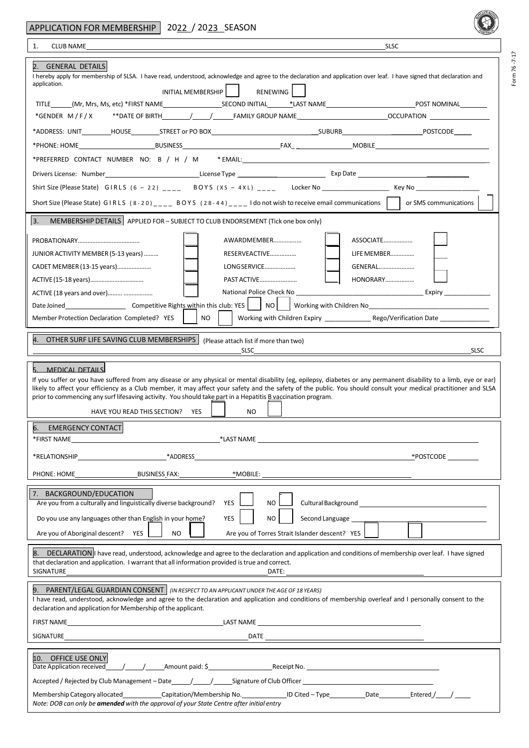Form 76 ‐7‐17

| 1.<br><b>CLUB NAME</b><br><b>SLSC</b>                                                                                                                                                                                                                                            |  |
|----------------------------------------------------------------------------------------------------------------------------------------------------------------------------------------------------------------------------------------------------------------------------------|--|
| 2. GENERAL DETAILS                                                                                                                                                                                                                                                               |  |
| I hereby apply for membership of SLSA. I have read, understood, acknowledge and agree to the declaration and application over leaf. I have signed that declaration and                                                                                                           |  |
| application.<br>INITIAL MEMBERSHIP  <br>RENEWING                                                                                                                                                                                                                                 |  |
|                                                                                                                                                                                                                                                                                  |  |
|                                                                                                                                                                                                                                                                                  |  |
|                                                                                                                                                                                                                                                                                  |  |
|                                                                                                                                                                                                                                                                                  |  |
|                                                                                                                                                                                                                                                                                  |  |
|                                                                                                                                                                                                                                                                                  |  |
|                                                                                                                                                                                                                                                                                  |  |
| Short Size (Please State) GIRLS $(8-20)$ <sub>---</sub> BOYS $(28-44)$ <sub>---</sub> I do not wish to receive email communications $\vert$ or SMS communications $\vert$                                                                                                        |  |
| 3.<br>MEMBERSHIP DETAILS   APPLIED FOR - SUBJECT TO CLUB ENDORSEMENT (Tick one box only)                                                                                                                                                                                         |  |
| ASSOCIATE<br>AWARDMEMBER                                                                                                                                                                                                                                                         |  |
| RESERVEACTIVE<br>LIFE MEMBER<br>JUNIOR ACTIVITY MEMBER (5-13 years)                                                                                                                                                                                                              |  |
| LONG SERVICE<br>GENERAL<br>CADET MEMBER (13-15 years)                                                                                                                                                                                                                            |  |
| PAST ACTIVE<br>HONORARY                                                                                                                                                                                                                                                          |  |
| _Expiry _______________<br>ACTIVE (18 years and over)                                                                                                                                                                                                                            |  |
| Working with Children No No was a major control of the state of the state of the state of the state of the state of the state of the state of the state of the state of the state of the state of the state of the state of th                                                   |  |
| NO.<br>Member Protection Declaration Completed? YES                                                                                                                                                                                                                              |  |
| 4. OTHER SURF LIFE SAVING CLUB MEMBERSHIPS<br>(Please attach list if more than two)                                                                                                                                                                                              |  |
| <b>SLSC</b><br>SLSC                                                                                                                                                                                                                                                              |  |
| MEDICAL DETAILS                                                                                                                                                                                                                                                                  |  |
| If you suffer or you have suffered from any disease or any physical or mental disability (eg, epilepsy, diabetes or any permanent disability to a limb, eye or ear)                                                                                                              |  |
| likely to affect your efficiency as a Club member, it may affect your safety and the safety of the public. You should consult your medical practitioner and SLSA<br>prior to commencing any surf lifesaving activity. You should take part in a Hepatitis B vaccination program. |  |
| HAVE YOU READ THIS SECTION?<br>YES<br><b>NO</b>                                                                                                                                                                                                                                  |  |
| <b>EMERGENCY CONTACT</b><br>6.                                                                                                                                                                                                                                                   |  |
| *LAST NAME<br>*FIRST NAME                                                                                                                                                                                                                                                        |  |
| *POSTCODE ______                                                                                                                                                                                                                                                                 |  |
| <b>BUSINESS FAX:</b><br>*MOBILE: _                                                                                                                                                                                                                                               |  |
| PHONE: HOME                                                                                                                                                                                                                                                                      |  |
| 7. BACKGROUND/EDUCATION<br>Are you from a culturally and linguistically diverse background?<br><b>YES</b><br>NO.                                                                                                                                                                 |  |
| <b>YES</b><br>NO.                                                                                                                                                                                                                                                                |  |
| Do you use any languages other than English in your home?                                                                                                                                                                                                                        |  |
| Are you of Aboriginal descent? YES<br><b>NO</b><br>Are you of Torres Strait Islander descent? YES                                                                                                                                                                                |  |
| 8. DECLARATION  I have read, understood, acknowledge and agree to the declaration and application and conditions of membership over leaf. I have signed<br>that declaration and application. I warrant that all information provided is true and correct.                        |  |
| SIGNATURE                                                                                                                                                                                                                                                                        |  |
| 9. PARENT/LEGAL GUARDIAN CONSENT   (IN RESPECT TO AN APPLICANT UNDER THE AGE OF 18 YEARS)                                                                                                                                                                                        |  |
| I have read, understood, acknowledge and agree to the declaration and application and conditions of membership overleaf and I personally consent to the                                                                                                                          |  |
| declaration and application for Membership of the applicant.                                                                                                                                                                                                                     |  |
|                                                                                                                                                                                                                                                                                  |  |
| SIGNATURE                                                                                                                                                                                                                                                                        |  |
| 10. OFFICE USE ONLY                                                                                                                                                                                                                                                              |  |
| Date Application received 1.1 1.1 1.1 Amount paid: \$ Receipt No. 1.1 2.1 2.1 Amount paid: \$                                                                                                                                                                                    |  |
|                                                                                                                                                                                                                                                                                  |  |
| Membership Category allocated __________Capitation/Membership No. _______________ ID Cited - Type __________Date __________Entered /_____/ ______<br>Note: DOB can only be amended with the approval of your State Centre after initial entry                                    |  |